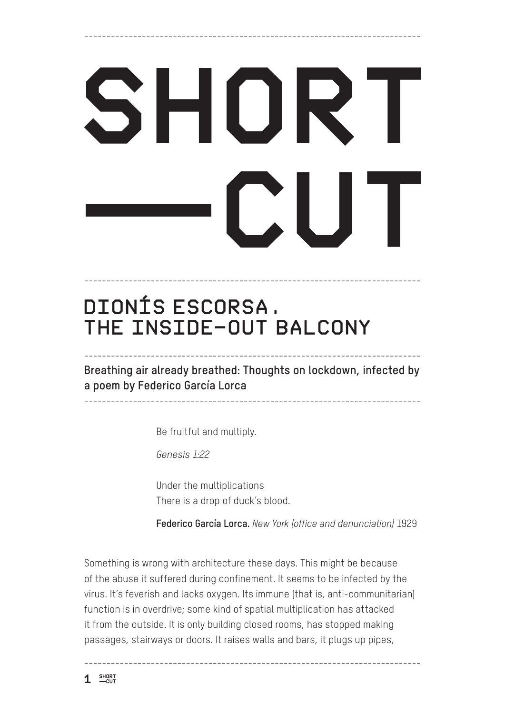## SHORT  $\mathbf{L}$

----------------------------------------------------------------------------

## **DIONÍS ESCORSA. THE INSIDE-OUT BALCONY**

**Breathing air already breathed: Thoughts on lockdown, infected by a poem by Federico García Lorca**

----------------------------------------------------------------------------

----------------------------------------------------------------------------

----------------------------------------------------------------------------

Be fruitful and multiply.

*Genesis 1:22*

Under the multiplications There is a drop of duck's blood.

**Federico García Lorca.** *New York (office and denunciation)* 1929

Something is wrong with architecture these days. This might be because of the abuse it suffered during confinement. It seems to be infected by the virus. It's feverish and lacks oxygen. Its immune (that is, anti-communitarian) function is in overdrive; some kind of spatial multiplication has attacked it from the outside. It is only building closed rooms, has stopped making passages, stairways or doors. It raises walls and bars, it plugs up pipes,

$$
\mathbf{1} \quad \overset{\text{short}}{\text{--cur}}
$$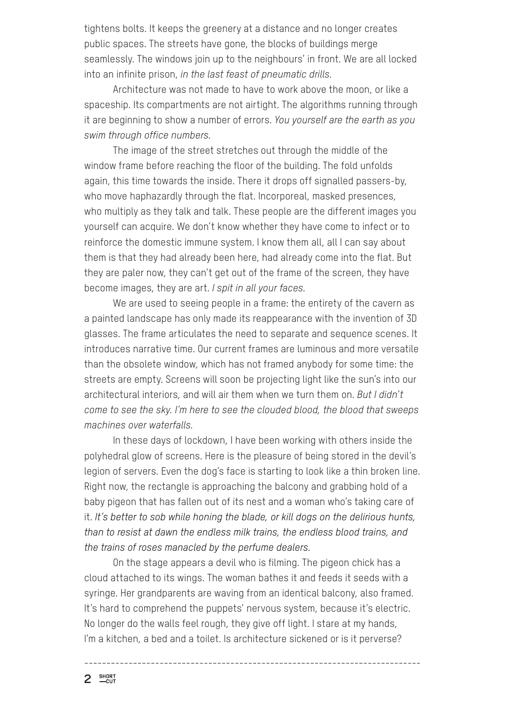tightens bolts. It keeps the greenery at a distance and no longer creates public spaces. The streets have gone, the blocks of buildings merge seamlessly. The windows join up to the neighbours' in front. We are all locked into an infinite prison, *in the last feast of pneumatic drills.*

Architecture was not made to have to work above the moon, or like a spaceship. Its compartments are not airtight. The algorithms running through it are beginning to show a number of errors. *You yourself are the earth as you swim through office numbers.*

The image of the street stretches out through the middle of the window frame before reaching the floor of the building. The fold unfolds again, this time towards the inside. There it drops off signalled passers-by, who move haphazardly through the flat. Incorporeal, masked presences, who multiply as they talk and talk. These people are the different images you yourself can acquire. We don't know whether they have come to infect or to reinforce the domestic immune system. I know them all, all I can say about them is that they had already been here, had already come into the flat. But they are paler now, they can't get out of the frame of the screen, they have become images, they are art. *I spit in all your faces.*

We are used to seeing people in a frame: the entirety of the cavern as a painted landscape has only made its reappearance with the invention of 3D glasses. The frame articulates the need to separate and sequence scenes. It introduces narrative time. Our current frames are luminous and more versatile than the obsolete window, which has not framed anybody for some time: the streets are empty. Screens will soon be projecting light like the sun's into our architectural interiors, and will air them when we turn them on. *But I didn't come to see the sky. I'm here to see the clouded blood, the blood that sweeps machines over waterfalls.*

In these days of lockdown, I have been working with others inside the polyhedral glow of screens. Here is the pleasure of being stored in the devil's legion of servers. Even the dog's face is starting to look like a thin broken line. Right now, the rectangle is approaching the balcony and grabbing hold of a baby pigeon that has fallen out of its nest and a woman who's taking care of it. *It's better to sob while honing the blade, or kill dogs on the delirious hunts, than to resist at dawn the endless milk trains, the endless blood trains, and the trains of roses manacled by the perfume dealers.*

On the stage appears a devil who is filming. The pigeon chick has a cloud attached to its wings. The woman bathes it and feeds it seeds with a syringe. Her grandparents are waving from an identical balcony, also framed. It's hard to comprehend the puppets' nervous system, because it's electric. No longer do the walls feel rough, they give off light. I stare at my hands, I'm a kitchen, a bed and a toilet. Is architecture sickened or is it perverse?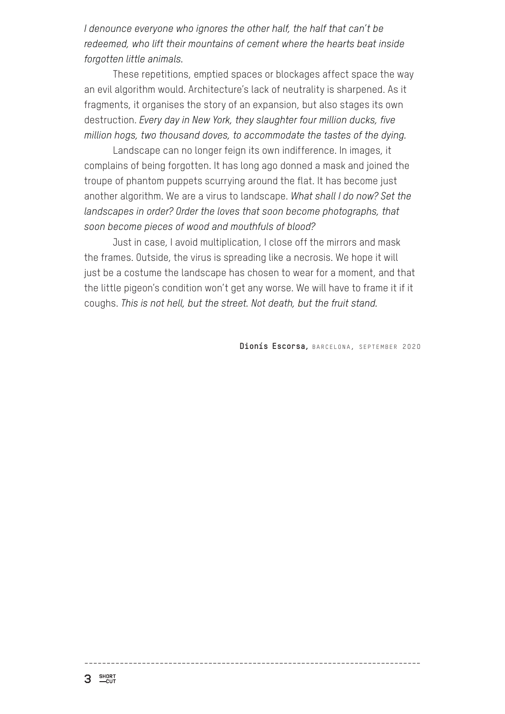*I denounce everyone who ignores the other half, the half that can't be redeemed, who lift their mountains of cement where the hearts beat inside forgotten little animals.*

These repetitions, emptied spaces or blockages affect space the way an evil algorithm would. Architecture's lack of neutrality is sharpened. As it fragments, it organises the story of an expansion, but also stages its own destruction. *Every day in New York, they slaughter four million ducks, five million hogs, two thousand doves, to accommodate the tastes of the dying.*

Landscape can no longer feign its own indifference. In images, it complains of being forgotten. It has long ago donned a mask and joined the troupe of phantom puppets scurrying around the flat. It has become just another algorithm. We are a virus to landscape. *What shall I do now? Set the landscapes in order? Order the loves that soon become photographs, that soon become pieces of wood and mouthfuls of blood?*

Just in case, I avoid multiplication, I close off the mirrors and mask the frames. Outside, the virus is spreading like a necrosis. We hope it will just be a costume the landscape has chosen to wear for a moment, and that the little pigeon's condition won't get any worse. We will have to frame it if it coughs. *This is not hell, but the street. Not death, but the fruit stand.*

Dionís Escorsa, BARCELONA, SEPTEMBER 2020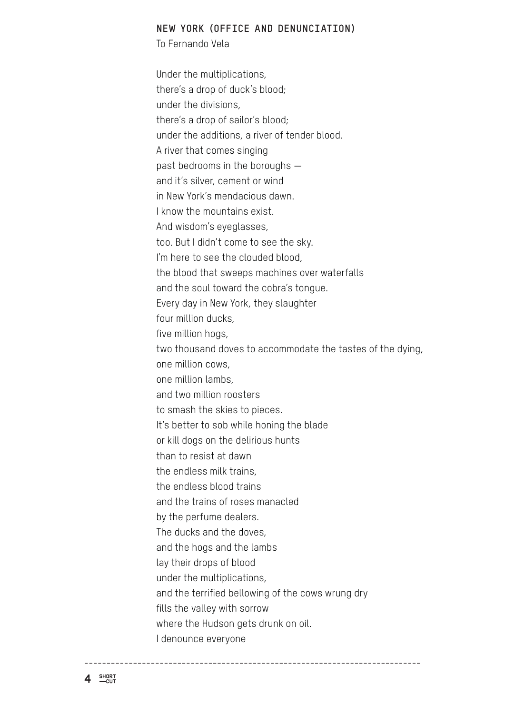## **NEW YORK (OFFICE AND DENUNCIATION)**

To Fernando Vela

Under the multiplications, there's a drop of duck's blood; under the divisions, there's a drop of sailor's blood; under the additions, a river of tender blood. A river that comes singing past bedrooms in the boroughs and it's silver, cement or wind in New York's mendacious dawn. I know the mountains exist. And wisdom's eyeglasses, too. But I didn't come to see the sky. I'm here to see the clouded blood. the blood that sweeps machines over waterfalls and the soul toward the cobra's tongue. Every day in New York, they slaughter four million ducks, five million hogs, two thousand doves to accommodate the tastes of the dying, one million cows, one million lambs, and two million roosters to smash the skies to pieces. It's better to sob while honing the blade or kill dogs on the delirious hunts than to resist at dawn the endless milk trains, the endless blood trains and the trains of roses manacled by the perfume dealers. The ducks and the doves, and the hogs and the lambs lay their drops of blood under the multiplications, and the terrified bellowing of the cows wrung dry fills the valley with sorrow where the Hudson gets drunk on oil. I denounce everyone